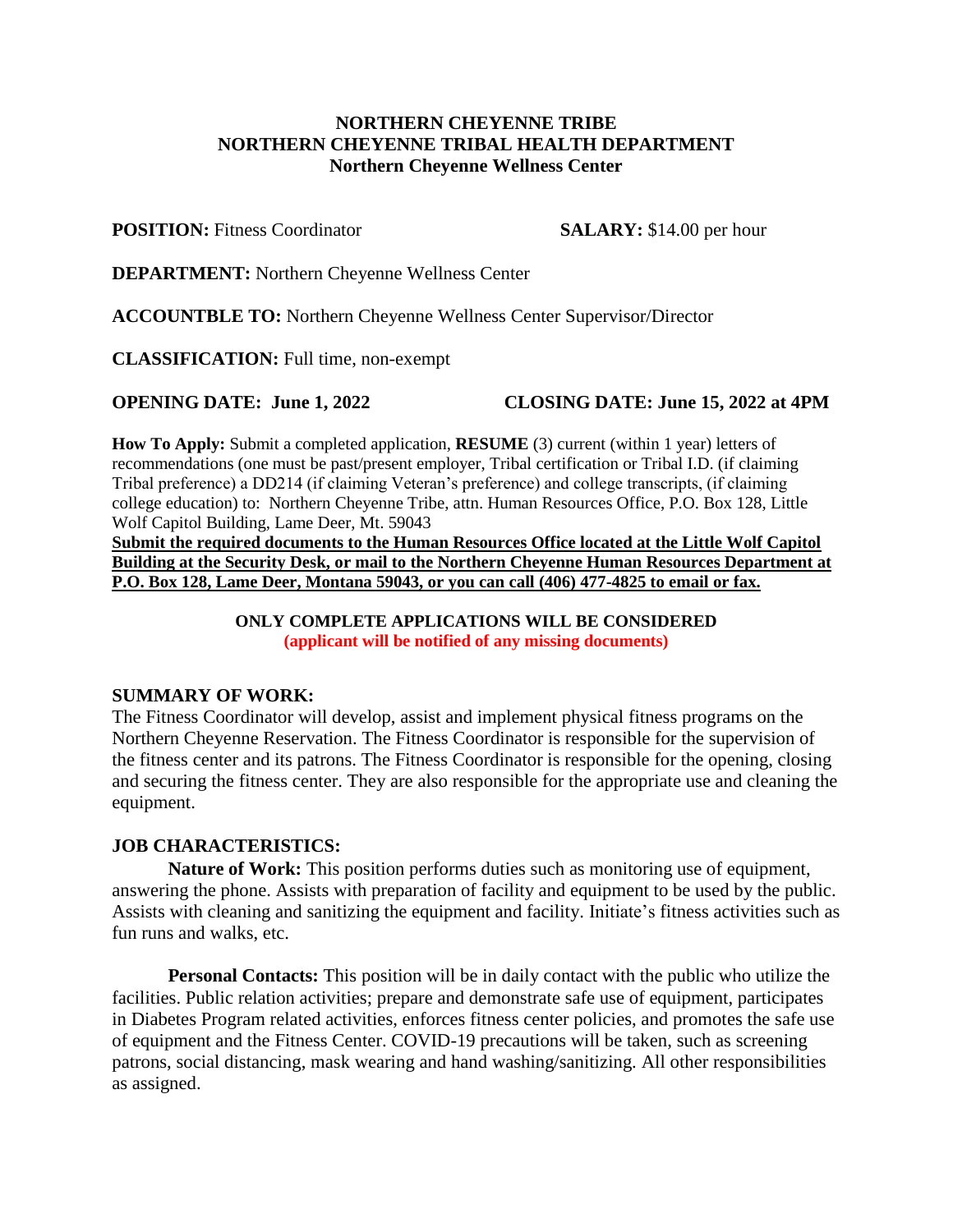## **NORTHERN CHEYENNE TRIBE NORTHERN CHEYENNE TRIBAL HEALTH DEPARTMENT Northern Cheyenne Wellness Center**

**POSITION:** Fitness Coordinator **SALARY:** \$14.00 per hour

**DEPARTMENT:** Northern Cheyenne Wellness Center

**ACCOUNTBLE TO:** Northern Cheyenne Wellness Center Supervisor/Director

**CLASSIFICATION:** Full time, non-exempt

**OPENING DATE: June 1, 2022 CLOSING DATE: June 15, 2022 at 4PM**

**How To Apply:** Submit a completed application, **RESUME** (3) current (within 1 year) letters of recommendations (one must be past/present employer, Tribal certification or Tribal I.D. (if claiming Tribal preference) a DD214 (if claiming Veteran's preference) and college transcripts, (if claiming college education) to: Northern Cheyenne Tribe, attn. Human Resources Office, P.O. Box 128, Little Wolf Capitol Building, Lame Deer, Mt. 59043

**Submit the required documents to the Human Resources Office located at the Little Wolf Capitol Building at the Security Desk, or mail to the Northern Cheyenne Human Resources Department at P.O. Box 128, Lame Deer, Montana 59043, or you can call (406) 477-4825 to email or fax.**

> **ONLY COMPLETE APPLICATIONS WILL BE CONSIDERED (applicant will be notified of any missing documents)**

### **SUMMARY OF WORK:**

The Fitness Coordinator will develop, assist and implement physical fitness programs on the Northern Cheyenne Reservation. The Fitness Coordinator is responsible for the supervision of the fitness center and its patrons. The Fitness Coordinator is responsible for the opening, closing and securing the fitness center. They are also responsible for the appropriate use and cleaning the equipment.

## **JOB CHARACTERISTICS:**

**Nature of Work:** This position performs duties such as monitoring use of equipment, answering the phone. Assists with preparation of facility and equipment to be used by the public. Assists with cleaning and sanitizing the equipment and facility. Initiate's fitness activities such as fun runs and walks, etc.

**Personal Contacts:** This position will be in daily contact with the public who utilize the facilities. Public relation activities; prepare and demonstrate safe use of equipment, participates in Diabetes Program related activities, enforces fitness center policies, and promotes the safe use of equipment and the Fitness Center. COVID-19 precautions will be taken, such as screening patrons, social distancing, mask wearing and hand washing/sanitizing. All other responsibilities as assigned.